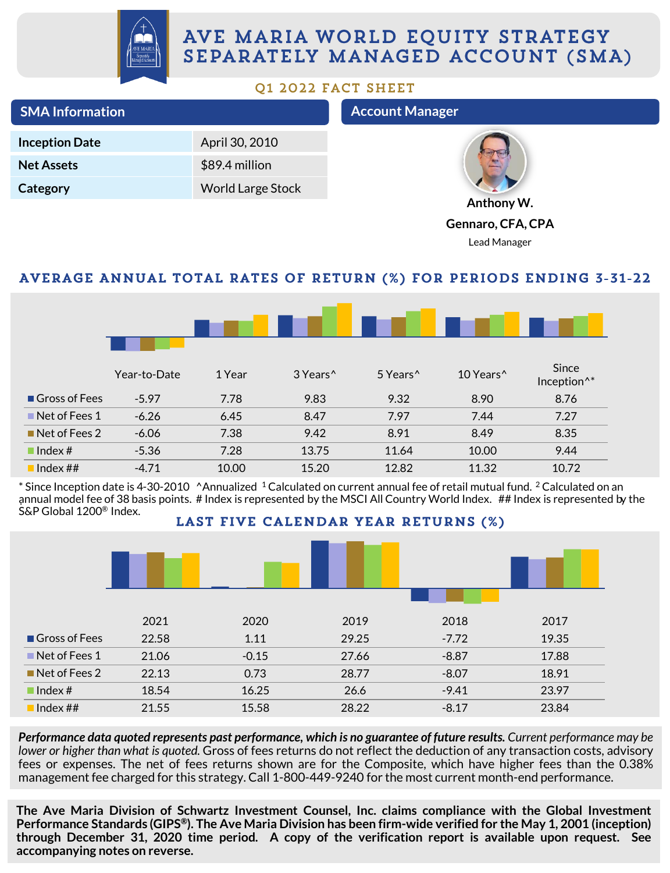

## AVE MARIA WORLD EQUITY STRATEGY SEPARATELY MANAGED ACCOUNT (SMA)

## Q1 2022 FACT SHEET

| <b>SMA Information</b> |                          | <b>Account Manager</b> |
|------------------------|--------------------------|------------------------|
| <b>Inception Date</b>  | April 30, 2010           |                        |
| <b>Net Assets</b>      | \$89.4 million           |                        |
| Category               | <b>World Large Stock</b> |                        |
|                        |                          | Anthony W.             |

**Gennaro, CFA, CPA**

Lead Manager

## AVERAGE ANNUAL TOTAL RATES OF RETURN (%) FOR PERIODS ENDING 3-31-22

|               | Year-to-Date | 1 Year | 3 Years^ | 5 Years <sup>^</sup> | 10 Years^ | Since<br>Inception <sup>^*</sup> |
|---------------|--------------|--------|----------|----------------------|-----------|----------------------------------|
| Gross of Fees | $-5.97$      | 7.78   | 9.83     | 9.32                 | 8.90      | 8.76                             |
| Net of Fees 1 | $-6.26$      | 6.45   | 8.47     | 7.97                 | 7.44      | 7.27                             |
| Net of Fees 2 | $-6.06$      | 7.38   | 9.42     | 8.91                 | 8.49      | 8.35                             |
| Index#        | $-5.36$      | 7.28   | 13.75    | 11.64                | 10.00     | 9.44                             |
| Index $\#$ #  | $-4.71$      | 10.00  | 15.20    | 12.82                | 11.32     | 10.72                            |

. annual model fee of 38 basis points. # Index is represented by the MSCI All Country World Index. ## Index is represented by the  $*$  Since Inception date is 4-30-2010  $\triangle$ Annualized  $\triangleq$  Calculated on current annual fee of retail mutual fund.  $\triangleq$  Calculated on an S&P Global 1200® Index.

LAST FIVE CALENDAR YEAR RETURNS (%)



Performance data quoted represents past performance, which is no guarantee of future results. Current performance may be *lower or higher than what is quoted.* Gross of fees returns do not reflect the deduction of any transaction costs, advisory fees or expenses. The net of fees returns shown are for the Composite, which have higher fees than the 0.38% management fee charged for this strategy. Call 1-800-449-9240 for the most current month-end performance.

**The Ave Maria Division of Schwartz Investment Counsel, Inc. claims compliance with the Global Investment** Performance Standards (GIPS®). The Ave Maria Division has been firm-wide verified for the May 1, 2001 (inception) **through December 31, 2020 time period. A copy of the verification report is available upon request. See accompanying notes on reverse.**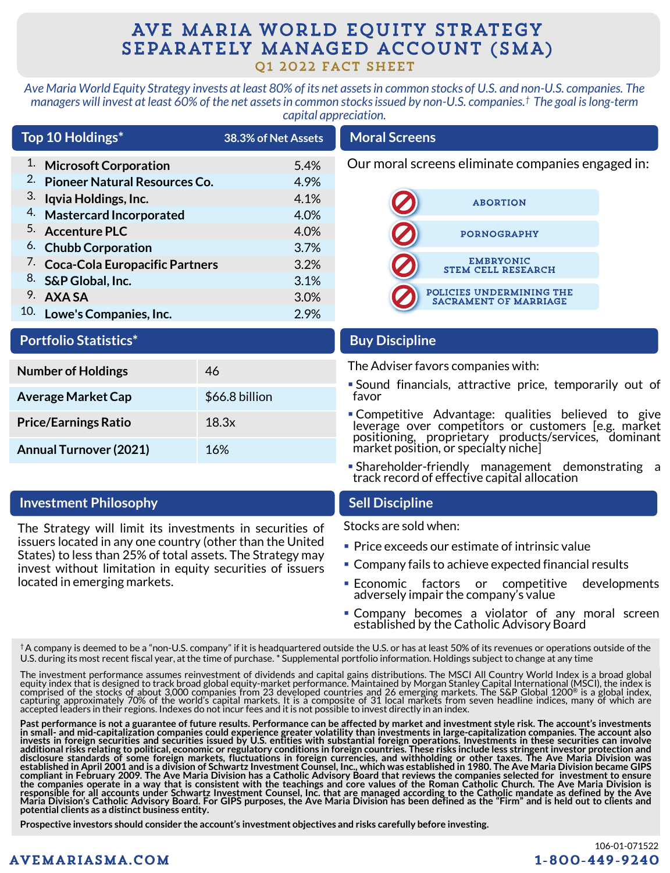## AVE MARIA WORLD EQUITY STRATEGY SEPARATELY MANAGED ACCOUNT (SMA) Q1 2022 FACT SHEET

*Ave Maria World Equity Strategy invests at least 80% of its net assets in common stocks of U.S. and non-U.S. companies. The managers will invest at least 60% of the net assets in common stocks issued by non-U.S. companies.† The goal is long-term capital appreciation.* 

| Top 10 Holdings*                            | 38.3% of Net Assets | <b>Moral Screens</b>                                     |
|---------------------------------------------|---------------------|----------------------------------------------------------|
| <sup>1.</sup> Microsoft Corporation         | 5.4%                | Our moral screens eliminate companies engaged in:        |
| <sup>2.</sup> Pioneer Natural Resources Co. | 4.9%                |                                                          |
| 3. Iqvia Holdings, Inc.                     | 4.1%                | <b>ABORTION</b>                                          |
| 4. Mastercard Incorporated                  | 4.0%                |                                                          |
| <sup>5.</sup> Accenture PLC                 | 4.0%                | <b>PORNOGRAPHY</b>                                       |
| <sup>6.</sup> Chubb Corporation             | 3.7%                |                                                          |
| 7. Coca-Cola Europacific Partners           | 3.2%                | <b>EMBRYONIC</b><br><b>STEM CELL RESEARCH</b>            |
| 8. S&P Global, Inc.                         | 3.1%                |                                                          |
| 9. AXASA                                    | 3.0%                | POLICIES UNDERMINING THE<br><b>SACRAMENT OF MARRIAGE</b> |
| 10. Lowe's Companies, Inc.                  | 2.9%                |                                                          |

## **Portfolio Statistics\***

| <b>Number of Holdings</b>     | 46             |
|-------------------------------|----------------|
| <b>Average Market Cap</b>     | \$66.8 billion |
| <b>Price/Earnings Ratio</b>   | 18.3x          |
| <b>Annual Turnover (2021)</b> | 16%            |

## **Investment Philosophy Sell Discipline**

The Strategy will limit its investments in securities of issuers located in any one country (other than the United States) to less than 25% of total assets. The Strategy may invest without limitation in equity securities of issuers located in emerging markets.

### **Buy Discipline**

The Adviser favors companies with:

- Sound financials, attractive price, temporarily out of favor
- **Competitive Advantage: qualities believed to give** leverage over competitors or customers [e.g. market positioning, proprietary products/services, dominant market position, or specialty niche]
- Shareholder-friendly management demonstrating a track record of effective capital allocation

Stocks are sold when:

- Price exceeds our estimate of intrinsic value
- Company fails to achieve expected financial results
- **Economic factors or competitive developments** adversely impair the company's value
- **Company becomes a violator of any moral screen** established by the Catholic Advisory Board

†A company is deemed to be a "non-U.S. company" if it is headquartered outside the U.S. or has at least 50% of its revenues or operations outside of the U.S. during its most recent fiscal year, atthe time of purchase. \* Supplemental portfolio information. Holdings subject to change at any time

The investment performance assumes reinvestment of dividends and capital gains distributions. The MSCI All Country World Index is a broad global equity index that is designed to track broad global equity-market performance. Maintained by Morgan Stanley Capital International (MSCI), the index is<br>comprised of the stocks of about 3,000 companies from 23 developed coun accepted leaders in their regions. Indexes do not incur fees and itis not possible to invest directly in an index.

Past performance is not a guarantee of future results. Performance can be affected by market and investment style risk. The account's investments<br>in small- and mid-capitalization companies could experience greater volatili **potential clients as a distinct business entity.**

**Prospective investors should consider the account's investment objectives and risks carefully before investing.**

## **AVEMARIASMA.COM**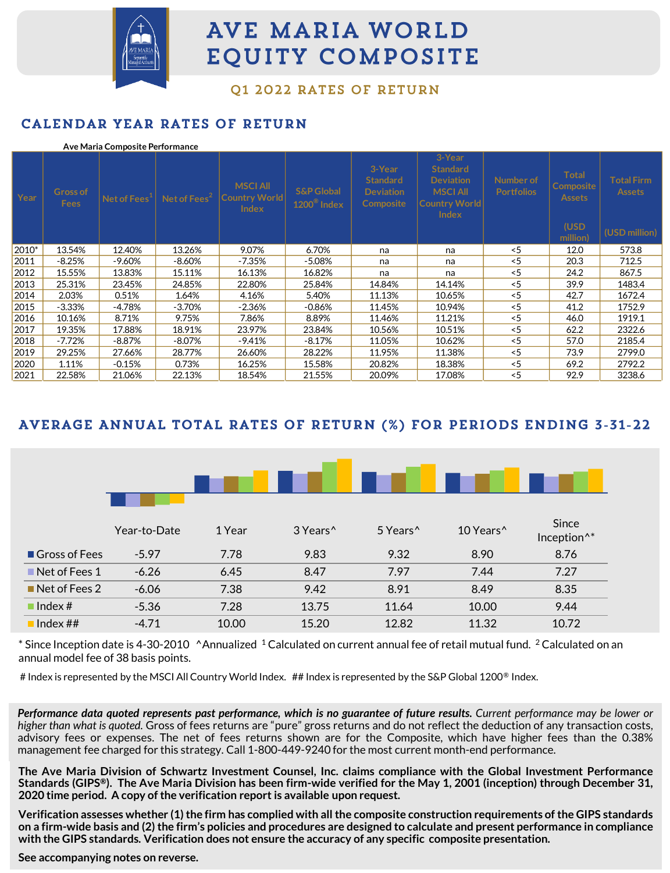

# AVE MARIA WORLD **EQUITY COMPOSITE**

01 2022 RATES OF RETURN

## CALENDAR YEAR RATES OF RETURN

### **Ave Maria Composite Performance**

| Year  | Gross of<br><b>Fees</b> | Net of Fees <sup>+</sup> | Net of Fees $2$ | <b>MSCI AII</b><br><b>Country World</b><br><b>Index</b> | <b>S&amp;P Global</b><br>$1200^{\circ}$ Index | 3-Year<br><b>Standard</b><br><b>Deviation</b><br><b>Composite</b> | 3-Year<br><b>Standard</b><br><b>Deviation</b><br><b>MSCI All</b><br> Country World <br><b>Index</b> | Number of<br><b>Portfolios</b> | <b>Total</b><br><b>Composite</b><br><b>Assets</b><br>(USD)<br>million) | <b>Total Firm</b><br><b>Assets</b><br>(USD million) |
|-------|-------------------------|--------------------------|-----------------|---------------------------------------------------------|-----------------------------------------------|-------------------------------------------------------------------|-----------------------------------------------------------------------------------------------------|--------------------------------|------------------------------------------------------------------------|-----------------------------------------------------|
| 2010* | 13.54%                  | 12.40%                   | 13.26%          | 9.07%                                                   | 6.70%                                         | na                                                                | na                                                                                                  | $<$ 5                          | 12.0                                                                   | 573.8                                               |
| 2011  | $-8.25%$                | $-9.60%$                 | -8.60%          | -7.35%                                                  | $-5.08%$                                      | na                                                                | na                                                                                                  | < 5                            | 20.3                                                                   | 712.5                                               |
| 2012  | 15.55%                  | 13.83%                   | 15.11%          | 16.13%                                                  | 16.82%                                        | na                                                                | na                                                                                                  | < 5                            | 24.2                                                                   | 867.5                                               |
| 2013  | 25.31%                  | 23.45%                   | 24.85%          | 22.80%                                                  | 25.84%                                        | 14.84%                                                            | 14.14%                                                                                              | $<$ 5                          | 39.9                                                                   | 1483.4                                              |
| 2014  | 2.03%                   | 0.51%                    | 1.64%           | 4.16%                                                   | 5.40%                                         | 11.13%                                                            | 10.65%                                                                                              | < 5                            | 42.7                                                                   | 1672.4                                              |
| 2015  | $-3.33%$                | -4.78%                   | $-3.70%$        | -2.36%                                                  | $-0.86%$                                      | 11.45%                                                            | 10.94%                                                                                              | $<$ 5                          | 41.2                                                                   | 1752.9                                              |
| 2016  | 10.16%                  | 8.71%                    | 9.75%           | 7.86%                                                   | 8.89%                                         | 11.46%                                                            | 11.21%                                                                                              | < 5                            | 46.0                                                                   | 1919.1                                              |
| 2017  | 19.35%                  | 17.88%                   | 18.91%          | 23.97%                                                  | 23.84%                                        | 10.56%                                                            | 10.51%                                                                                              | $<$ 5                          | 62.2                                                                   | 2322.6                                              |
| 2018  | -7.72%                  | $-8.87%$                 | -8.07%          | -9.41%                                                  | $-8.17%$                                      | 11.05%                                                            | 10.62%                                                                                              | < 5                            | 57.0                                                                   | 2185.4                                              |
| 2019  | 29.25%                  | 27.66%                   | 28.77%          | 26.60%                                                  | 28.22%                                        | 11.95%                                                            | 11.38%                                                                                              | < 5                            | 73.9                                                                   | 2799.0                                              |
| 2020  | 1.11%                   | $-0.15%$                 | 0.73%           | 16.25%                                                  | 15.58%                                        | 20.82%                                                            | 18.38%                                                                                              | < 5                            | 69.2                                                                   | 2792.2                                              |
| 2021  | 22.58%                  | 21.06%                   | 22.13%          | 18.54%                                                  | 21.55%                                        | 20.09%                                                            | 17.08%                                                                                              | < 5                            | 92.9                                                                   | 3238.6                                              |

## AVERAGE ANNUAL TOTAL RATES OF RETURN (%) FOR PERIODS ENDING 3-31-22

|                      | Year-to-Date | 1 Year | 3 Years <sup>^</sup> | 5 Years <sup>^</sup> | 10 Years <sup>^</sup> | Since<br>Inception <sup>^*</sup> |
|----------------------|--------------|--------|----------------------|----------------------|-----------------------|----------------------------------|
| <b>Gross of Fees</b> | $-5.97$      | 7.78   | 9.83                 | 9.32                 | 8.90                  | 8.76                             |
| Net of Fees 1        | $-6.26$      | 6.45   | 8.47                 | 7.97                 | 7.44                  | 7.27                             |
| Net of Fees 2        | $-6.06$      | 7.38   | 9.42                 | 8.91                 | 8.49                  | 8.35                             |
| Index#               | $-5.36$      | 7.28   | 13.75                | 11.64                | 10.00                 | 9.44                             |
| Index ##             | $-4.71$      | 10.00  | 15.20                | 12.82                | 11.32                 | 10.72                            |

 $*$  Since Inception date is 4-30-2010  $\triangle$ Annualized  $^1$  Calculated on current annual fee of retail mutual fund.  $^2$  Calculated on an annual model fee of 38 basis points.

# Index is represented by the MSCI All Country World Index. ## Index is represented by the S&P Global 1200® Index.

Performance data quoted represents past performance, which is no guarantee of future results. Current performance may be lower or *higher than what is quoted.* Gross of fees returns are "pure" gross returns and do not reflect the deduction of any transaction costs, advisory fees or expenses. The net of fees returns shown are for the Composite, which have higher fees than the 0.38% management fee charged for this strategy. Call 1-800-449-9240 for the most current month-end performance.

The Ave Maria Division of Schwartz Investment Counsel, Inc. claims compliance with the Global Investment Performance Standards (GIPS®). The Ave Maria Division has been firm-wide verified for the May 1, 2001 (inception) through December 31, **2020 time period. A copy ofthe verification report is available upon request.**

Verification assesses whether (1) the firm has complied with all the composite construction requirements of the GIPS standards on a firm-wide basis and (2) the firm's policies and procedures are designed to calculate and present performance in compliance **with the GIPS standards. Verification does not ensure the accuracy of any specific composite presentation.**

**See accompanying notes on reverse.**